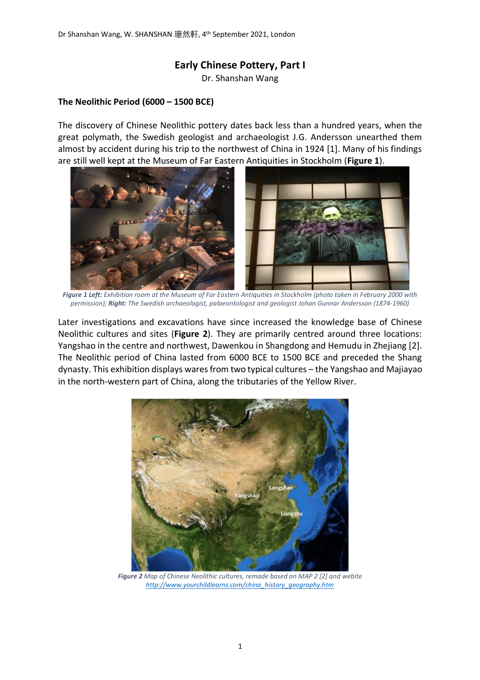## **Early Chinese Pottery, Part I**

Dr. Shanshan Wang

## **The Neolithic Period (6000 – 1500 BCE)**

The discovery of Chinese Neolithic pottery dates back less than a hundred years, when the great polymath, the Swedish geologist and archaeologist J.G. Andersson unearthed them almost by accident during his trip to the northwest of China in 1924 [1]. Many of his findings are still well kept at the Museum of Far Eastern Antiquities in Stockholm (**[Figure 1](#page-0-0)**).



 *Figure 1 Left: Exhibition room at the Museum of Far Eastern Antiquities in Stockholm (photo taken in February 2000 with permission); Right: The Swedish archaeologist, palaeontologist and geologist Johan Gunnar Andersson (1874-1960)*

<span id="page-0-0"></span>Later investigations and excavations have since increased the knowledge base of Chinese Neolithic cultures and sites (**[Figure 2](#page-0-1)**). They are primarily centred around three locations: Yangshao in the centre and northwest, Dawenkou in Shangdong and Hemudu in Zhejiang [2]. The Neolithic period of China lasted from 6000 BCE to 1500 BCE and preceded the Shang dynasty. This exhibition displays wares from two typical cultures – the Yangshao and Majiayao in the north-western part of China, along the tributaries of the Yellow River.

<span id="page-0-1"></span>

*Figure 2 Map of Chinese Neolithic cultures, remade based on MAP 2 [2] and webite [http://www.yourchildlearns.com/china\\_history\\_geography.htm](http://www.yourchildlearns.com/china_history_geography.htm)*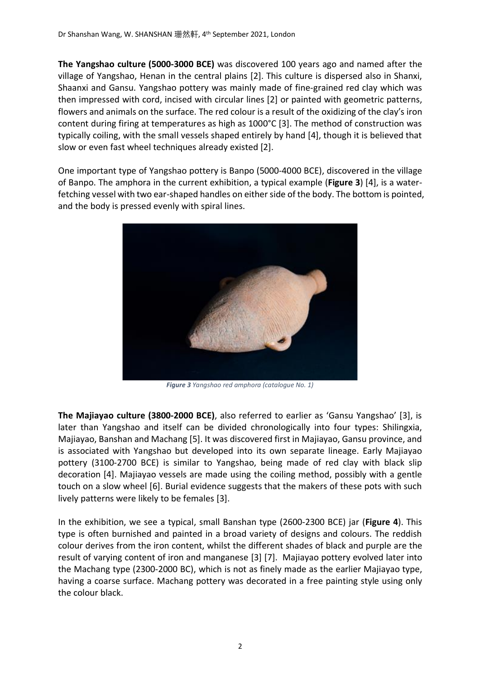**The Yangshao culture (5000-3000 BCE)** was discovered 100 years ago and named after the village of Yangshao, Henan in the central plains [2]. This culture is dispersed also in Shanxi, Shaanxi and Gansu. Yangshao pottery was mainly made of fine-grained red clay which was then impressed with cord, incised with circular lines [2] or painted with geometric patterns, flowers and animals on the surface. The red colour is a result of the oxidizing of the clay's iron content during firing at temperatures as high as 1000°C [3]. The method of construction was typically coiling, with the small vessels shaped entirely by hand [4], though it is believed that slow or even fast wheel techniques already existed [2].

One important type of Yangshao pottery is Banpo (5000-4000 BCE), discovered in the village of Banpo. The amphora in the current exhibition, a typical example (**[Figure 3](#page-1-0)**) [4], is a waterfetching vessel with two ear-shaped handles on either side of the body. The bottom is pointed, and the body is pressed evenly with spiral lines.



*Figure 3 Yangshao red amphora (catalogue No. 1)*

<span id="page-1-0"></span>**The Majiayao culture (3800-2000 BCE)**, also referred to earlier as 'Gansu Yangshao' [3], is later than Yangshao and itself can be divided chronologically into four types: Shilingxia, Majiayao, Banshan and Machang [5]. It was discovered first in Majiayao, Gansu province, and is associated with Yangshao but developed into its own separate lineage. Early Majiayao pottery (3100-2700 BCE) is similar to Yangshao, being made of red clay with black slip decoration [4]. Majiayao vessels are made using the coiling method, possibly with a gentle touch on a slow wheel [6]. Burial evidence suggests that the makers of these pots with such lively patterns were likely to be females [3].

In the exhibition, we see a typical, small Banshan type (2600-2300 BCE) jar (**[Figure 4](#page-2-0)**). This type is often burnished and painted in a broad variety of designs and colours. The reddish colour derives from the iron content, whilst the different shades of black and purple are the result of varying content of iron and manganese [3] [7]. Majiayao pottery evolved later into the Machang type (2300-2000 BC), which is not as finely made as the earlier Majiayao type, having a coarse surface. Machang pottery was decorated in a free painting style using only the colour black.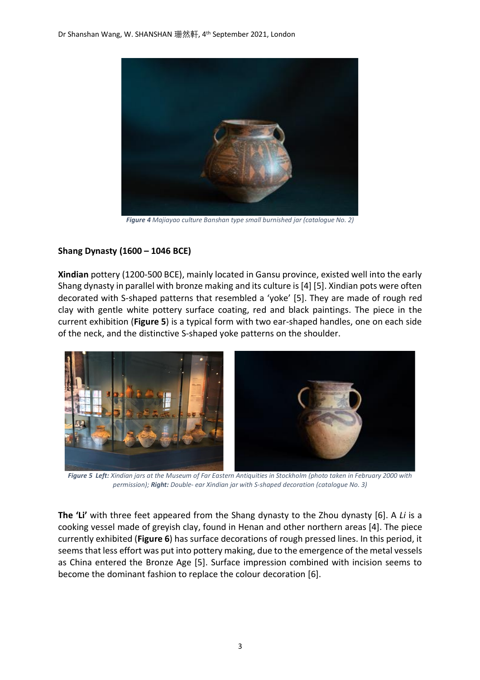

*Figure 4 Majiayao culture Banshan type small burnished jar (catalogue No. 2)*

## <span id="page-2-0"></span>**Shang Dynasty (1600 – 1046 BCE)**

**Xindian** pottery (1200-500 BCE), mainly located in Gansu province, existed well into the early Shang dynasty in parallel with bronze making and its culture is[4] [5]. Xindian pots were often decorated with S-shaped patterns that resembled a 'yoke' [5]. They are made of rough red clay with gentle white pottery surface coating, red and black paintings. The piece in the current exhibition (**[Figure 5](#page-2-1)**) is a typical form with two ear-shaped handles, one on each side of the neck, and the distinctive S-shaped yoke patterns on the shoulder.



 *Figure 5 Left: Xindian jars at the Museum of Far Eastern Antiquities in Stockholm (photo taken in February 2000 with permission); Right: Double- ear Xindian jar with S-shaped decoration (catalogue No. 3)*

<span id="page-2-1"></span>**The 'Li'** with three feet appeared from the Shang dynasty to the Zhou dynasty [6]. A *Li* is a cooking vessel made of greyish clay, found in Henan and other northern areas [4]. The piece currently exhibited (**[Figure 6](#page-3-0)**) has surface decorations of rough pressed lines. In this period, it seems that less effort was put into pottery making, due to the emergence of the metal vessels as China entered the Bronze Age [5]. Surface impression combined with incision seems to become the dominant fashion to replace the colour decoration [6].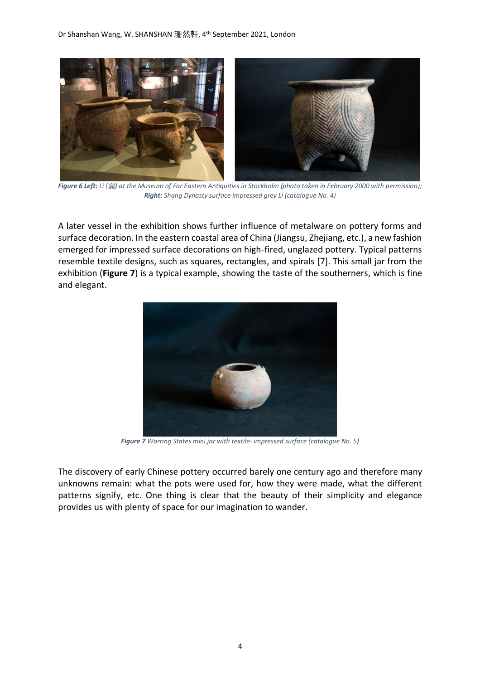

 *Figure 6 Left: Li (*鎘*) at the Museum of Far Eastern Antiquities in Stockholm (photo taken in February 2000 with permission); Right: Shang Dynasty surface impressed grey Li (catalogue No. 4)*

<span id="page-3-0"></span>A later vessel in the exhibition shows further influence of metalware on pottery forms and surface decoration. In the eastern coastal area of China (Jiangsu, Zhejiang, etc.), a new fashion emerged for impressed surface decorations on high-fired, unglazed pottery. Typical patterns resemble textile designs, such as squares, rectangles, and spirals [7]. This small jar from the exhibition (**[Figure 7](#page-3-1)**) is a typical example, showing the taste of the southerners, which is fine and elegant.



*Figure 7 Warring States mini jar with textile- impressed surface (catalogue No. 5)*

<span id="page-3-1"></span>The discovery of early Chinese pottery occurred barely one century ago and therefore many unknowns remain: what the pots were used for, how they were made, what the different patterns signify, etc. One thing is clear that the beauty of their simplicity and elegance provides us with plenty of space for our imagination to wander.